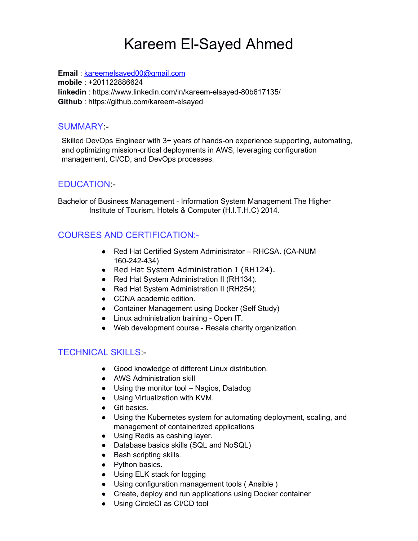# Kareem El-Sayed Ahmed

**Email** : [kareemelsayed00@gmail.com](mailto:kareemelsayed00@gmail.com) **mobile** : +201122886624 **linkedin** : htt[ps://www.li](http://www.linkedin.com/in/kareem-elsayed-80b617135/)n[kedin.com/in/kareem-elsayed-80b617135/](http://www.linkedin.com/in/kareem-elsayed-80b617135/) **Github** : https://github.com/kareem-elsayed

### SUMMARY:-

Skilled DevOps Engineer with 3+ years of hands-on experience supporting, automating, and optimizing mission-critical deployments in AWS, leveraging configuration management, CI/CD, and DevOps processes.

# EDUCATION:-

Bachelor of Business Management - Information System Management The Higher Institute of Tourism, Hotels & Computer (H.I.T.H.C) 2014.

# COURSES AND CERTIFICATION:-

- Red Hat Certified System Administrator RHCSA. (CA-NUM 160-242-434)
- Red Hat System Administration I (RH124).
- Red Hat System Administration II (RH134).
- Red Hat System Administration II (RH254).
- CCNA academic edition.
- Container Management using Docker (Self Study)
- Linux administration training Open IT.
- Web development course Resala charity organization.

# TECHNICAL SKILLS:-

- Good knowledge of different Linux distribution.
- AWS Administration skill
- Using the monitor tool Nagios, Datadog
- Using Virtualization with KVM.
- Git basics.
- Using the Kubernetes system for automating deployment, scaling, and management of containerized applications
- Using Redis as cashing layer.
- Database basics skills (SQL and NoSQL)
- Bash scripting skills.
- Python basics.
- Using ELK stack for logging
- Using configuration management tools ( Ansible )
- Create, deploy and run applications using Docker container
- Using CircleCI as CI/CD tool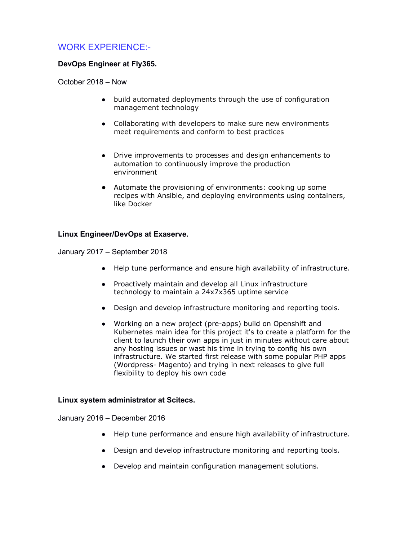## WORK EXPERIENCE:-

#### **DevOps Engineer at Fly365.**

October 2018 – Now

- build automated deployments through the use of configuration management technology
- Collaborating with developers to make sure new environments meet requirements and conform to best practices
- Drive improvements to processes and design enhancements to automation to continuously improve the production environment
- Automate the provisioning of environments: cooking up some recipes with Ansible, and deploying environments using containers, like Docker

#### **Linux Engineer/DevOps at Exaserve.**

January 2017 – September 2018

- Help tune performance and ensure high availability of infrastructure.
- Proactively maintain and develop all Linux infrastructure technology to maintain a 24x7x365 uptime service
- Design and develop infrastructure monitoring and reporting tools.
- Working on a new project (pre-apps) build on Openshift and Kubernetes main idea for this project it's to create a platform for the client to launch their own apps in just in minutes without care about any hosting issues or wast his time in trying to config his own infrastructure. We started first release with some popular PHP apps (Wordpress- Magento) and trying in next releases to give full flexibility to deploy his own code

#### **Linux system administrator at Scitecs.**

January 2016 – December 2016

- Help tune performance and ensure high availability of infrastructure.
- Design and develop infrastructure monitoring and reporting tools.
- Develop and maintain configuration management solutions.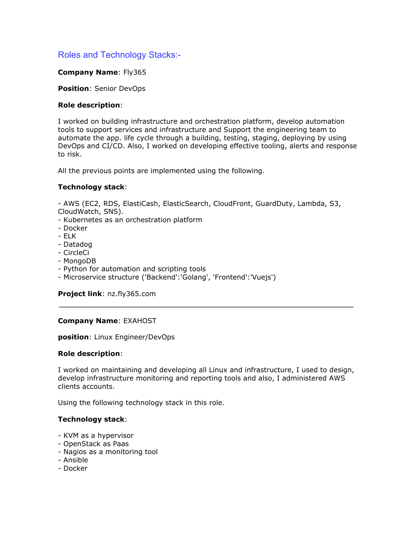## Roles and Technology Stacks:-

#### **Company Name**: Fly365

**Position**: Senior DevOps

#### **Role description**:

I worked on building infrastructure and orchestration platform, develop automation tools to support services and infrastructure and Support the engineering team to automate the app. life cycle through a building, testing, staging, deploying by using DevOps and CI/CD. Also, I worked on developing effective tooling, alerts and response to risk.

All the previous points are implemented using the following.

#### **Technology stack**:

- AWS (EC2, RDS, ElastiCash, ElasticSearch, CloudFront, GuardDuty, Lambda, S3, CloudWatch, SNS).

- Kubernetes as an orchestration platform
- Docker
- ELK
- Datadog
- CircleCi
- MongoDB
- Python for automation and scripting tools
- Microservice structure ('Backend':'Golang', 'Frontend':'Vuejs')

**Project link**: nz.fly365.com

#### **Company Name**: EXAHOST

**position**: Linux Engineer/DevOps

#### **Role description**:

I worked on maintaining and developing all Linux and infrastructure, I used to design, develop infrastructure monitoring and reporting tools and also, I administered AWS clients accounts.

Using the following technology stack in this role.

#### **Technology stack**:

- KVM as a hypervisor
- OpenStack as Paas
- Nagios as a monitoring tool
- Ansible
- Docker